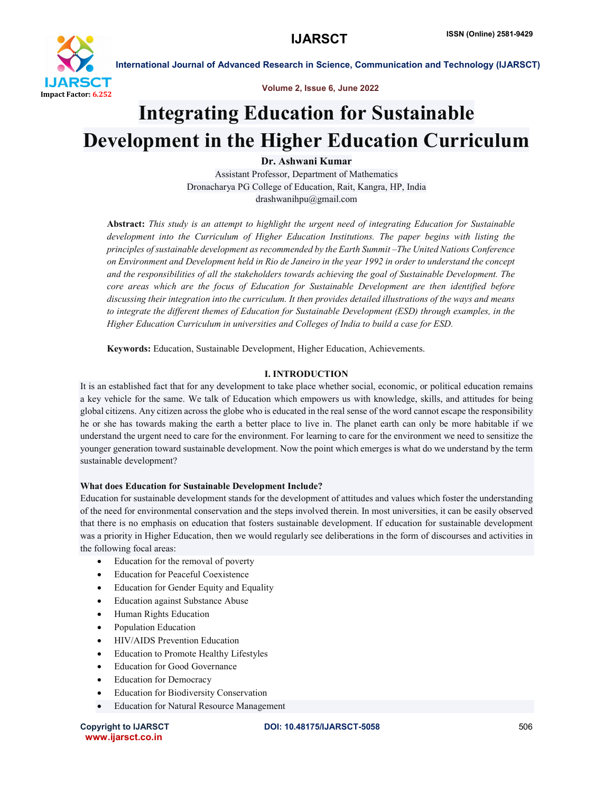

Volume 2, Issue 6, June 2022

# Integrating Education for Sustainable Development in the Higher Education Curriculum

Dr. Ashwani Kumar

Assistant Professor, Department of Mathematics Dronacharya PG College of Education, Rait, Kangra, HP, India drashwanihpu@gmail.com

Abstract: *This study is an attempt to highlight the urgent need of integrating Education for Sustainable development into the Curriculum of Higher Education Institutions. The paper begins with listing the principles of sustainable development as recommended by the Earth Summit –The United Nations Conference on Environment and Development held in Rio de Janeiro in the year 1992 in order to understand the concept and the responsibilities of all the stakeholders towards achieving the goal of Sustainable Development. The core areas which are the focus of Education for Sustainable Development are then identified before discussing their integration into the curriculum. It then provides detailed illustrations of the ways and means to integrate the different themes of Education for Sustainable Development (ESD) through examples, in the Higher Education Curriculum in universities and Colleges of India to build a case for ESD.*

Keywords: Education, Sustainable Development, Higher Education, Achievements.

# I. INTRODUCTION

It is an established fact that for any development to take place whether social, economic, or political education remains a key vehicle for the same. We talk of Education which empowers us with knowledge, skills, and attitudes for being global citizens. Any citizen across the globe who is educated in the real sense of the word cannot escape the responsibility he or she has towards making the earth a better place to live in. The planet earth can only be more habitable if we understand the urgent need to care for the environment. For learning to care for the environment we need to sensitize the younger generation toward sustainable development. Now the point which emerges is what do we understand by the term sustainable development?

# What does Education for Sustainable Development Include?

Education for sustainable development stands for the development of attitudes and values which foster the understanding of the need for environmental conservation and the steps involved therein. In most universities, it can be easily observed that there is no emphasis on education that fosters sustainable development. If education for sustainable development was a priority in Higher Education, then we would regularly see deliberations in the form of discourses and activities in the following focal areas:

- Education for the removal of poverty
- Education for Peaceful Coexistence
- Education for Gender Equity and Equality
- Education against Substance Abuse
- Human Rights Education
- Population Education
- HIV/AIDS Prevention Education
- Education to Promote Healthy Lifestyles
- Education for Good Governance
- Education for Democracy
- Education for Biodiversity Conservation
- Education for Natural Resource Management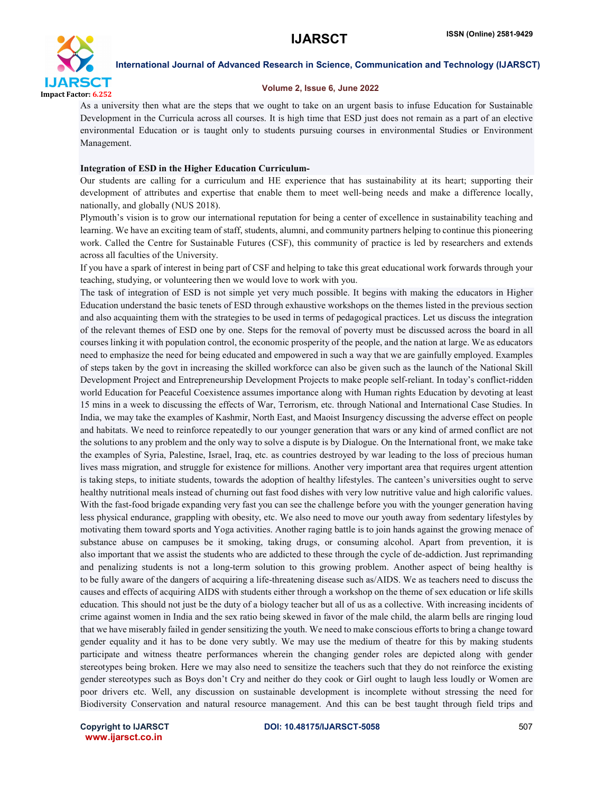

## Volume 2, Issue 6, June 2022

As a university then what are the steps that we ought to take on an urgent basis to infuse Education for Sustainable Development in the Curricula across all courses. It is high time that ESD just does not remain as a part of an elective environmental Education or is taught only to students pursuing courses in environmental Studies or Environment Management.

# Integration of ESD in the Higher Education Curriculum-

Our students are calling for a curriculum and HE experience that has sustainability at its heart; supporting their development of attributes and expertise that enable them to meet well-being needs and make a difference locally, nationally, and globally (NUS 2018).

Plymouth's vision is to grow our international reputation for being a center of excellence in sustainability teaching and learning. We have an exciting team of staff, students, alumni, and community partners helping to continue this pioneering work. Called the Centre for Sustainable Futures (CSF), this community of practice is led by researchers and extends across all faculties of the University.

If you have a spark of interest in being part of CSF and helping to take this great educational work forwards through your teaching, studying, or volunteering then we would love to work with you.

The task of integration of ESD is not simple yet very much possible. It begins with making the educators in Higher Education understand the basic tenets of ESD through exhaustive workshops on the themes listed in the previous section and also acquainting them with the strategies to be used in terms of pedagogical practices. Let us discuss the integration of the relevant themes of ESD one by one. Steps for the removal of poverty must be discussed across the board in all courses linking it with population control, the economic prosperity of the people, and the nation at large. We as educators need to emphasize the need for being educated and empowered in such a way that we are gainfully employed. Examples of steps taken by the govt in increasing the skilled workforce can also be given such as the launch of the National Skill Development Project and Entrepreneurship Development Projects to make people self-reliant. In today's conflict-ridden world Education for Peaceful Coexistence assumes importance along with Human rights Education by devoting at least 15 mins in a week to discussing the effects of War, Terrorism, etc. through National and International Case Studies. In India, we may take the examples of Kashmir, North East, and Maoist Insurgency discussing the adverse effect on people and habitats. We need to reinforce repeatedly to our younger generation that wars or any kind of armed conflict are not the solutions to any problem and the only way to solve a dispute is by Dialogue. On the International front, we make take the examples of Syria, Palestine, Israel, Iraq, etc. as countries destroyed by war leading to the loss of precious human lives mass migration, and struggle for existence for millions. Another very important area that requires urgent attention is taking steps, to initiate students, towards the adoption of healthy lifestyles. The canteen's universities ought to serve healthy nutritional meals instead of churning out fast food dishes with very low nutritive value and high calorific values. With the fast-food brigade expanding very fast you can see the challenge before you with the younger generation having less physical endurance, grappling with obesity, etc. We also need to move our youth away from sedentary lifestyles by motivating them toward sports and Yoga activities. Another raging battle is to join hands against the growing menace of substance abuse on campuses be it smoking, taking drugs, or consuming alcohol. Apart from prevention, it is also important that we assist the students who are addicted to these through the cycle of de-addiction. Just reprimanding and penalizing students is not a long-term solution to this growing problem. Another aspect of being healthy is to be fully aware of the dangers of acquiring a life-threatening disease such as/AIDS. We as teachers need to discuss the causes and effects of acquiring AIDS with students either through a workshop on the theme of sex education or life skills education. This should not just be the duty of a biology teacher but all of us as a collective. With increasing incidents of crime against women in India and the sex ratio being skewed in favor of the male child, the alarm bells are ringing loud that we have miserably failed in gender sensitizing the youth. We need to make conscious efforts to bring a change toward gender equality and it has to be done very subtly. We may use the medium of theatre for this by making students participate and witness theatre performances wherein the changing gender roles are depicted along with gender stereotypes being broken. Here we may also need to sensitize the teachers such that they do not reinforce the existing gender stereotypes such as Boys don't Cry and neither do they cook or Girl ought to laugh less loudly or Women are poor drivers etc. Well, any discussion on sustainable development is incomplete without stressing the need for Biodiversity Conservation and natural resource management. And this can be best taught through field trips and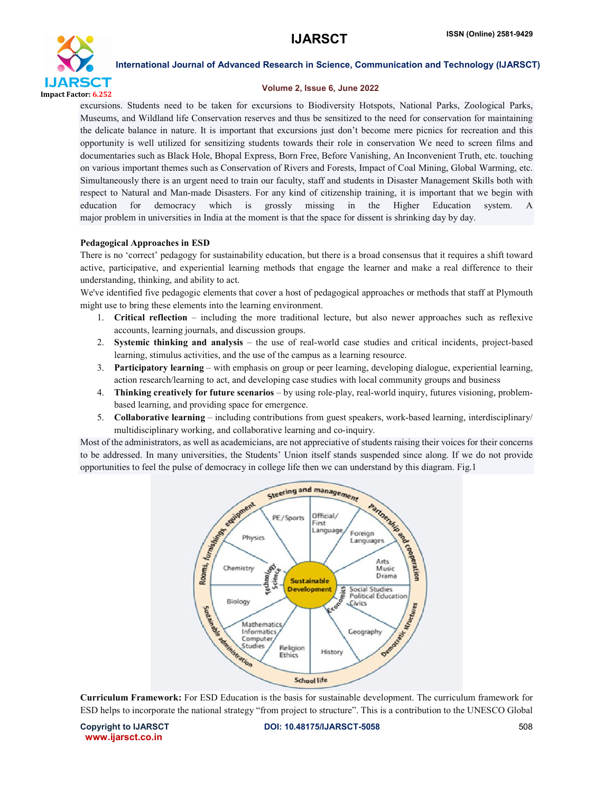

## Volume 2, Issue 6, June 2022

excursions. Students need to be taken for excursions to Biodiversity Hotspots, National Parks, Zoological Parks, Museums, and Wildland life Conservation reserves and thus be sensitized to the need for conservation for maintaining the delicate balance in nature. It is important that excursions just don't become mere picnics for recreation and this opportunity is well utilized for sensitizing students towards their role in conservation We need to screen films and documentaries such as Black Hole, Bhopal Express, Born Free, Before Vanishing, An Inconvenient Truth, etc. touching on various important themes such as Conservation of Rivers and Forests, Impact of Coal Mining, Global Warming, etc. Simultaneously there is an urgent need to train our faculty, staff and students in Disaster Management Skills both with respect to Natural and Man-made Disasters. For any kind of citizenship training, it is important that we begin with education for democracy which is grossly missing in the Higher Education system. A major problem in universities in India at the moment is that the space for dissent is shrinking day by day.

# Pedagogical Approaches in ESD

There is no 'correct' pedagogy for sustainability education, but there is a broad consensus that it requires a shift toward active, participative, and experiential learning methods that engage the learner and make a real difference to their understanding, thinking, and ability to act.

We've identified five pedagogic elements that cover a host of pedagogical approaches or methods that staff at Plymouth might use to bring these elements into the learning environment.

- 1. Critical reflection including the more traditional lecture, but also newer approaches such as reflexive accounts, learning journals, and discussion groups.
- 2. Systemic thinking and analysis the use of real-world case studies and critical incidents, project-based learning, stimulus activities, and the use of the campus as a learning resource.
- 3. Participatory learning with emphasis on group or peer learning, developing dialogue, experiential learning, action research/learning to act, and developing case studies with local community groups and business
- 4. Thinking creatively for future scenarios by using role-play, real-world inquiry, futures visioning, problembased learning, and providing space for emergence.
- 5. Collaborative learning including contributions from guest speakers, work-based learning, interdisciplinary/ multidisciplinary working, and collaborative learning and co-inquiry.

Most of the administrators, as well as academicians, are not appreciative of students raising their voices for their concerns to be addressed. In many universities, the Students' Union itself stands suspended since along. If we do not provide opportunities to feel the pulse of democracy in college life then we can understand by this diagram. Fig.1



Curriculum Framework: For ESD Education is the basis for sustainable development. The curriculum framework for ESD helps to incorporate the national strategy "from project to structure". This is a contribution to the UNESCO Global

www.ijarsct.co.in